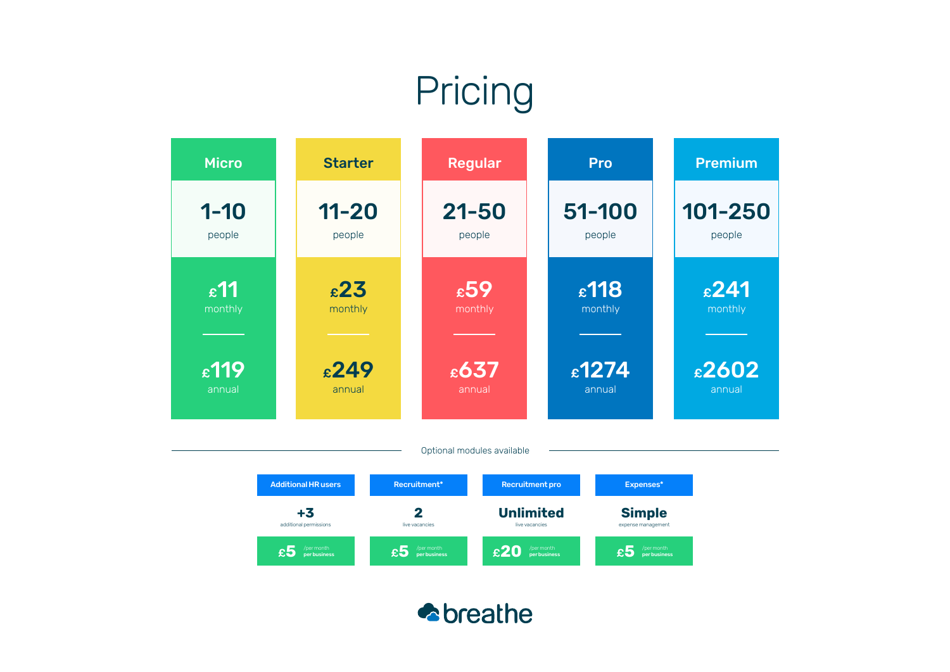## **Pricing**



Additional HR users **+3** additional permissions £**5** /per month per business Recruitment\* **2** live vacancies  $\epsilon$ 5 /per month Recruitment pro **Unlimited** live vacancies £**20** /per month per business Expenses\* **Simple** expense management  $\epsilon$ 5 /per month

**A**breathe

Optional modules available